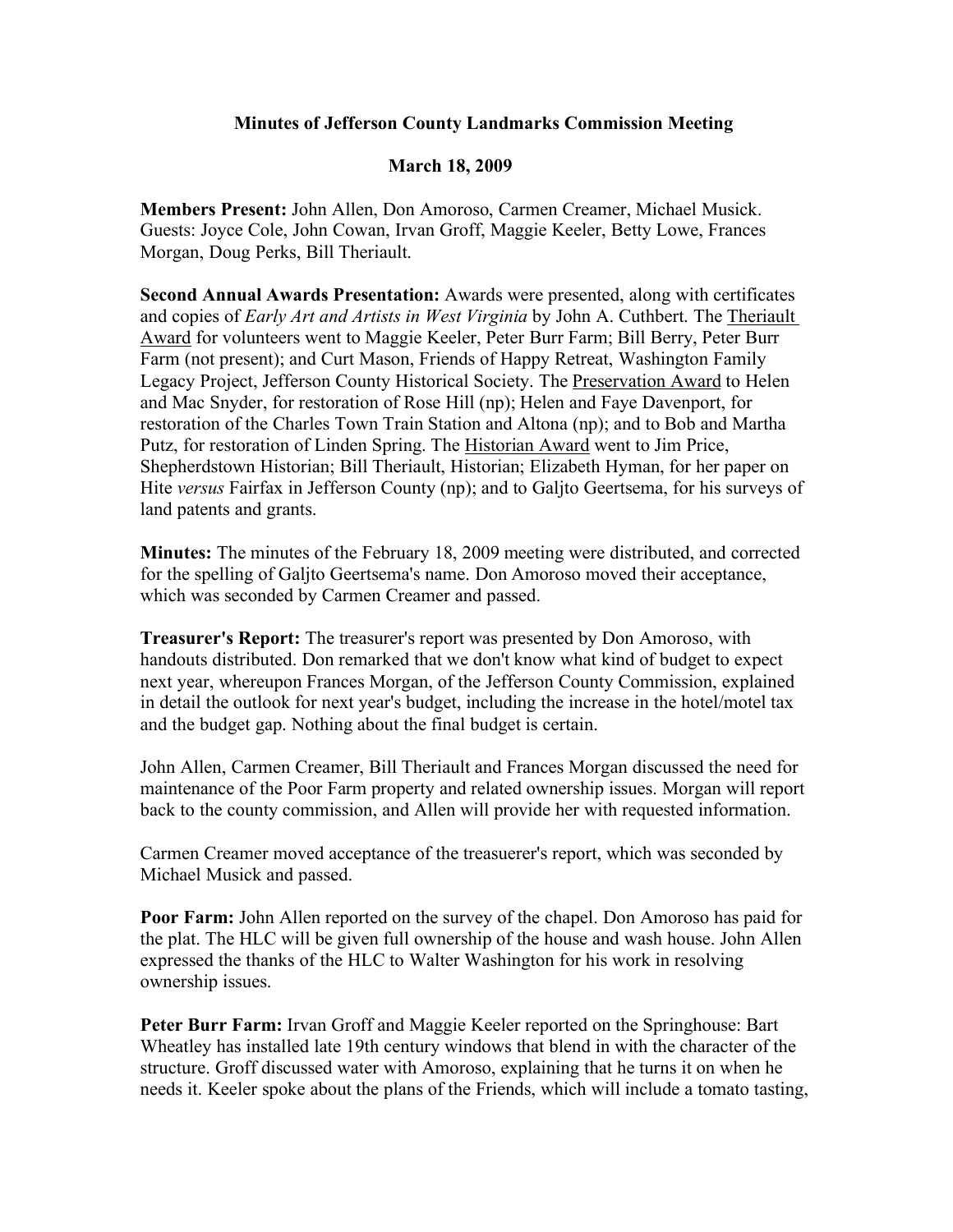## **Minutes of Jefferson County Landmarks Commission Meeting**

## **March 18, 2009**

**Members Present:** John Allen, Don Amoroso, Carmen Creamer, Michael Musick. Guests: Joyce Cole, John Cowan, Irvan Groff, Maggie Keeler, Betty Lowe, Frances Morgan, Doug Perks, Bill Theriault.

**Second Annual Awards Presentation:** Awards were presented, along with certificates and copies of *Early Art and Artists in West Virginia* by John A. Cuthbert. The Theriault Award for volunteers went to Maggie Keeler, Peter Burr Farm; Bill Berry, Peter Burr Farm (not present); and Curt Mason, Friends of Happy Retreat, Washington Family Legacy Project, Jefferson County Historical Society. The Preservation Award to Helen and Mac Snyder, for restoration of Rose Hill (np); Helen and Faye Davenport, for restoration of the Charles Town Train Station and Altona (np); and to Bob and Martha Putz, for restoration of Linden Spring. The Historian Award went to Jim Price, Shepherdstown Historian; Bill Theriault, Historian; Elizabeth Hyman, for her paper on Hite *versus* Fairfax in Jefferson County (np); and to Galjto Geertsema, for his surveys of land patents and grants.

**Minutes:** The minutes of the February 18, 2009 meeting were distributed, and corrected for the spelling of Galjto Geertsema's name. Don Amoroso moved their acceptance, which was seconded by Carmen Creamer and passed.

**Treasurer's Report:** The treasurer's report was presented by Don Amoroso, with handouts distributed. Don remarked that we don't know what kind of budget to expect next year, whereupon Frances Morgan, of the Jefferson County Commission, explained in detail the outlook for next year's budget, including the increase in the hotel/motel tax and the budget gap. Nothing about the final budget is certain.

John Allen, Carmen Creamer, Bill Theriault and Frances Morgan discussed the need for maintenance of the Poor Farm property and related ownership issues. Morgan will report back to the county commission, and Allen will provide her with requested information.

Carmen Creamer moved acceptance of the treasuerer's report, which was seconded by Michael Musick and passed.

**Poor Farm:** John Allen reported on the survey of the chapel. Don Amoroso has paid for the plat. The HLC will be given full ownership of the house and wash house. John Allen expressed the thanks of the HLC to Walter Washington for his work in resolving ownership issues.

**Peter Burr Farm:** Irvan Groff and Maggie Keeler reported on the Springhouse: Bart Wheatley has installed late 19th century windows that blend in with the character of the structure. Groff discussed water with Amoroso, explaining that he turns it on when he needs it. Keeler spoke about the plans of the Friends, which will include a tomato tasting,